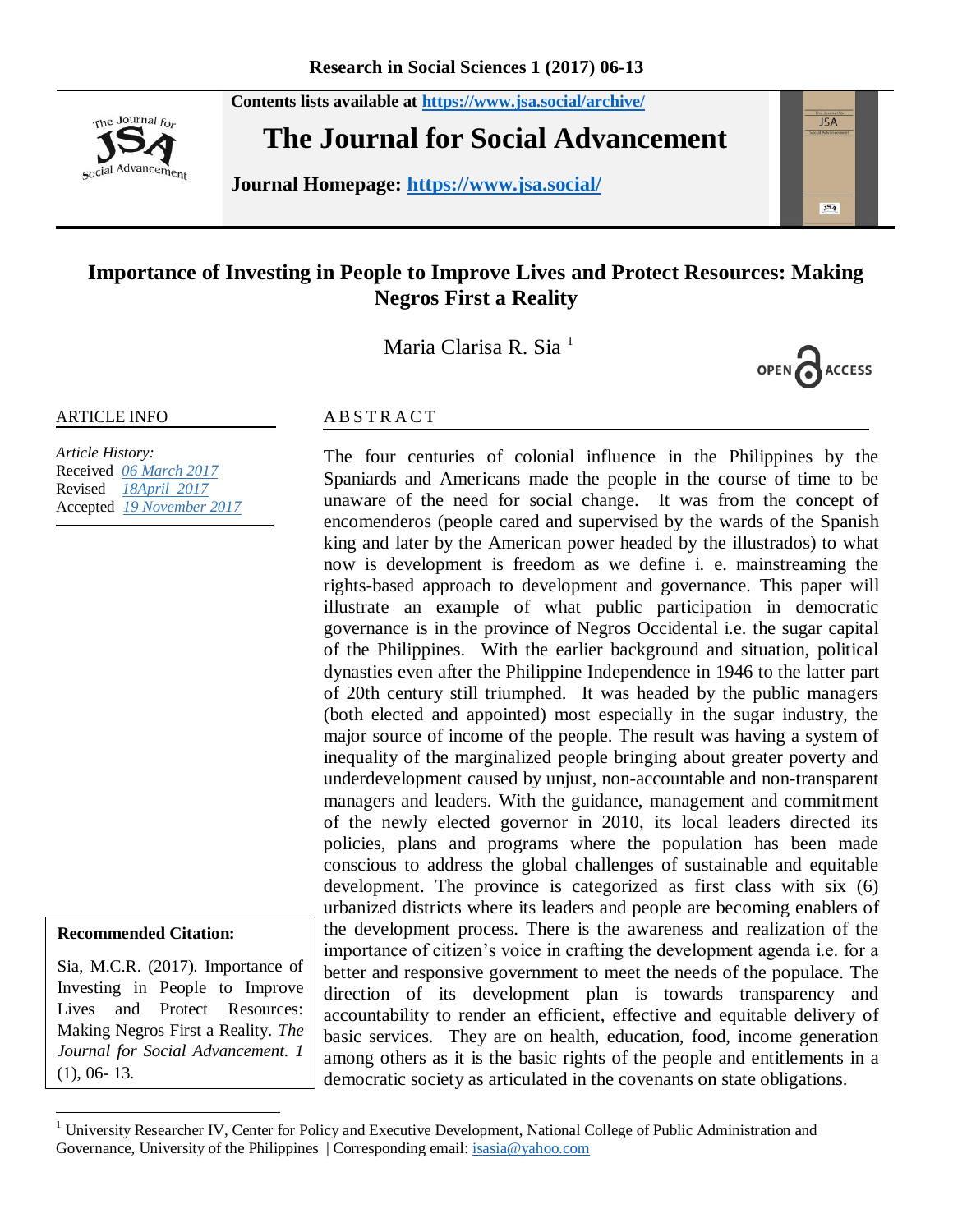**Contents lists available at <https://www.jsa.social/archive/>**



**The Journal for Social Advancement** 

**Journal Homepage: <https://www.jsa.social/>**



# **Importance of Investing in People to Improve Lives and Protect Resources: Making Negros First a Reality**

Maria Clarisa R. Sia<sup>1</sup>



#### ARTICLE INFO

*Article History:*  Received *06 March 2017* Revised *18April 2017* Accepted *19 November 2017*

#### **Recommended Citation:**

 $\overline{a}$ 

Sia, M.C.R. (2017). Importance of Investing in People to Improve Lives and Protect Resources: Making Negros First a Reality. *The Journal for Social Advancement. 1* (1), 06- 13.

#### **ABSTRACT**

The four centuries of colonial influence in the Philippines by the Spaniards and Americans made the people in the course of time to be unaware of the need for social change. It was from the concept of encomenderos (people cared and supervised by the wards of the Spanish king and later by the American power headed by the illustrados) to what now is development is freedom as we define i. e. mainstreaming the rights-based approach to development and governance. This paper will illustrate an example of what public participation in democratic governance is in the province of Negros Occidental i.e. the sugar capital of the Philippines. With the earlier background and situation, political dynasties even after the Philippine Independence in 1946 to the latter part of 20th century still triumphed. It was headed by the public managers (both elected and appointed) most especially in the sugar industry, the major source of income of the people. The result was having a system of inequality of the marginalized people bringing about greater poverty and underdevelopment caused by unjust, non-accountable and non-transparent managers and leaders. With the guidance, management and commitment of the newly elected governor in 2010, its local leaders directed its policies, plans and programs where the population has been made conscious to address the global challenges of sustainable and equitable development. The province is categorized as first class with six (6) urbanized districts where its leaders and people are becoming enablers of the development process. There is the awareness and realization of the importance of citizen's voice in crafting the development agenda i.e. for a better and responsive government to meet the needs of the populace. The direction of its development plan is towards transparency and accountability to render an efficient, effective and equitable delivery of basic services. They are on health, education, food, income generation among others as it is the basic rights of the people and entitlements in a democratic society as articulated in the covenants on state obligations.

<sup>&</sup>lt;sup>1</sup> University Researcher IV, Center for Policy and Executive Development, National College of Public Administration and Governance, University of the Philippines | Corresponding email[: isasia@yahoo.com](mailto:isasia@yahoo.com)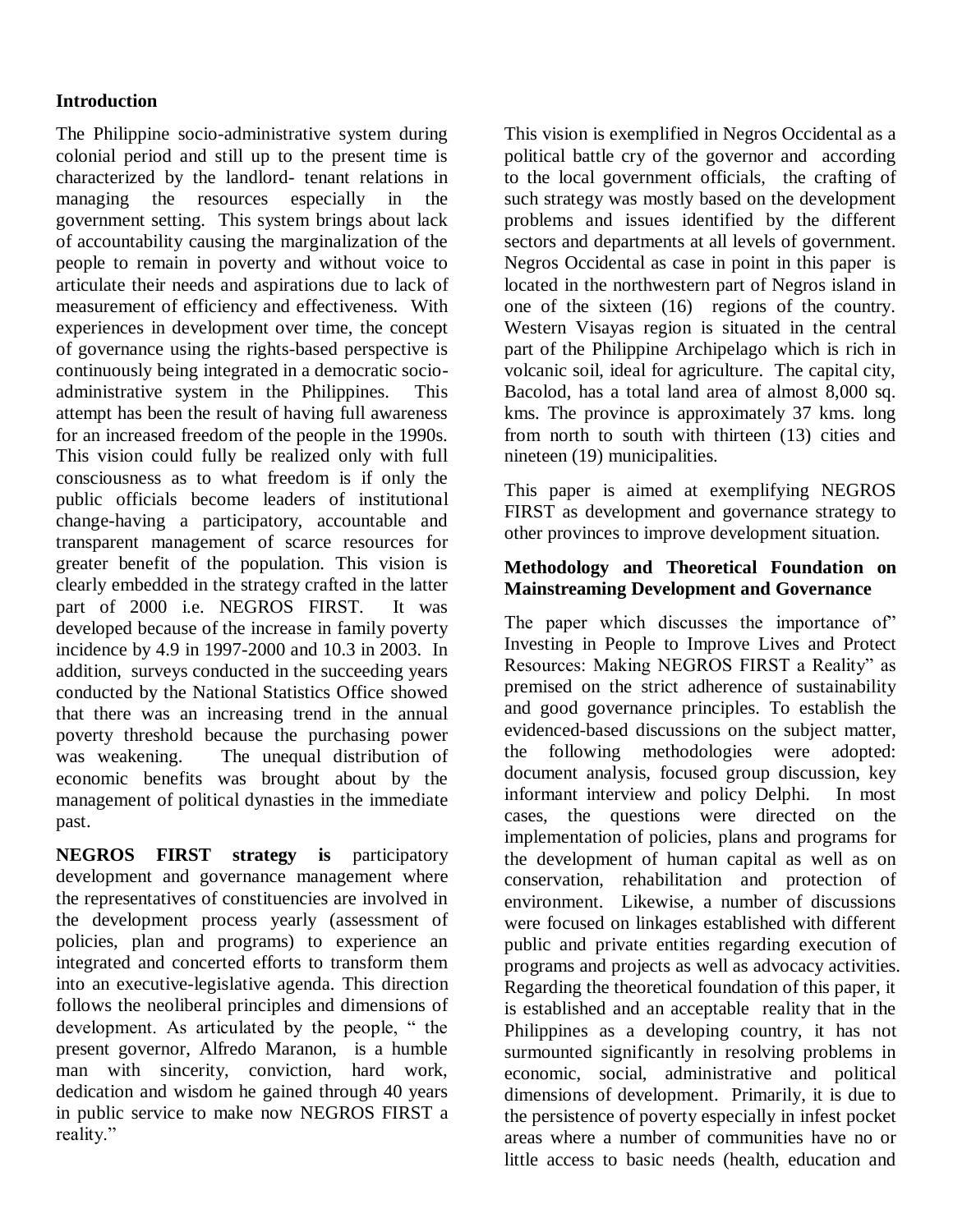# **Introduction**

The Philippine socio-administrative system during colonial period and still up to the present time is characterized by the landlord- tenant relations in managing the resources especially in the government setting. This system brings about lack of accountability causing the marginalization of the people to remain in poverty and without voice to articulate their needs and aspirations due to lack of measurement of efficiency and effectiveness. With experiences in development over time, the concept of governance using the rights-based perspective is continuously being integrated in a democratic socioadministrative system in the Philippines. This attempt has been the result of having full awareness for an increased freedom of the people in the 1990s. This vision could fully be realized only with full consciousness as to what freedom is if only the public officials become leaders of institutional change-having a participatory, accountable and transparent management of scarce resources for greater benefit of the population. This vision is clearly embedded in the strategy crafted in the latter part of 2000 i.e. NEGROS FIRST. It was developed because of the increase in family poverty incidence by 4.9 in 1997-2000 and 10.3 in 2003. In addition, surveys conducted in the succeeding years conducted by the National Statistics Office showed that there was an increasing trend in the annual poverty threshold because the purchasing power was weakening. The unequal distribution of economic benefits was brought about by the management of political dynasties in the immediate past.

**NEGROS FIRST strategy is** participatory development and governance management where the representatives of constituencies are involved in the development process yearly (assessment of policies, plan and programs) to experience an integrated and concerted efforts to transform them into an executive-legislative agenda. This direction follows the neoliberal principles and dimensions of development. As articulated by the people, " the present governor, Alfredo Maranon, is a humble man with sincerity, conviction, hard work, dedication and wisdom he gained through 40 years in public service to make now NEGROS FIRST a reality."

This vision is exemplified in Negros Occidental as a political battle cry of the governor and according to the local government officials, the crafting of such strategy was mostly based on the development problems and issues identified by the different sectors and departments at all levels of government. Negros Occidental as case in point in this paper is located in the northwestern part of Negros island in one of the sixteen (16) regions of the country. Western Visayas region is situated in the central part of the Philippine Archipelago which is rich in volcanic soil, ideal for agriculture. The capital city, Bacolod, has a total land area of almost 8,000 sq. kms. The province is approximately 37 kms. long from north to south with thirteen (13) cities and nineteen (19) municipalities.

This paper is aimed at exemplifying NEGROS FIRST as development and governance strategy to other provinces to improve development situation.

### **Methodology and Theoretical Foundation on Mainstreaming Development and Governance**

The paper which discusses the importance of" Investing in People to Improve Lives and Protect Resources: Making NEGROS FIRST a Reality" as premised on the strict adherence of sustainability and good governance principles. To establish the evidenced-based discussions on the subject matter, the following methodologies were adopted: document analysis, focused group discussion, key informant interview and policy Delphi. In most cases, the questions were directed on the implementation of policies, plans and programs for the development of human capital as well as on conservation, rehabilitation and protection of environment. Likewise, a number of discussions were focused on linkages established with different public and private entities regarding execution of programs and projects as well as advocacy activities. Regarding the theoretical foundation of this paper, it is established and an acceptable reality that in the Philippines as a developing country, it has not surmounted significantly in resolving problems in economic, social, administrative and political dimensions of development. Primarily, it is due to the persistence of poverty especially in infest pocket areas where a number of communities have no or little access to basic needs (health, education and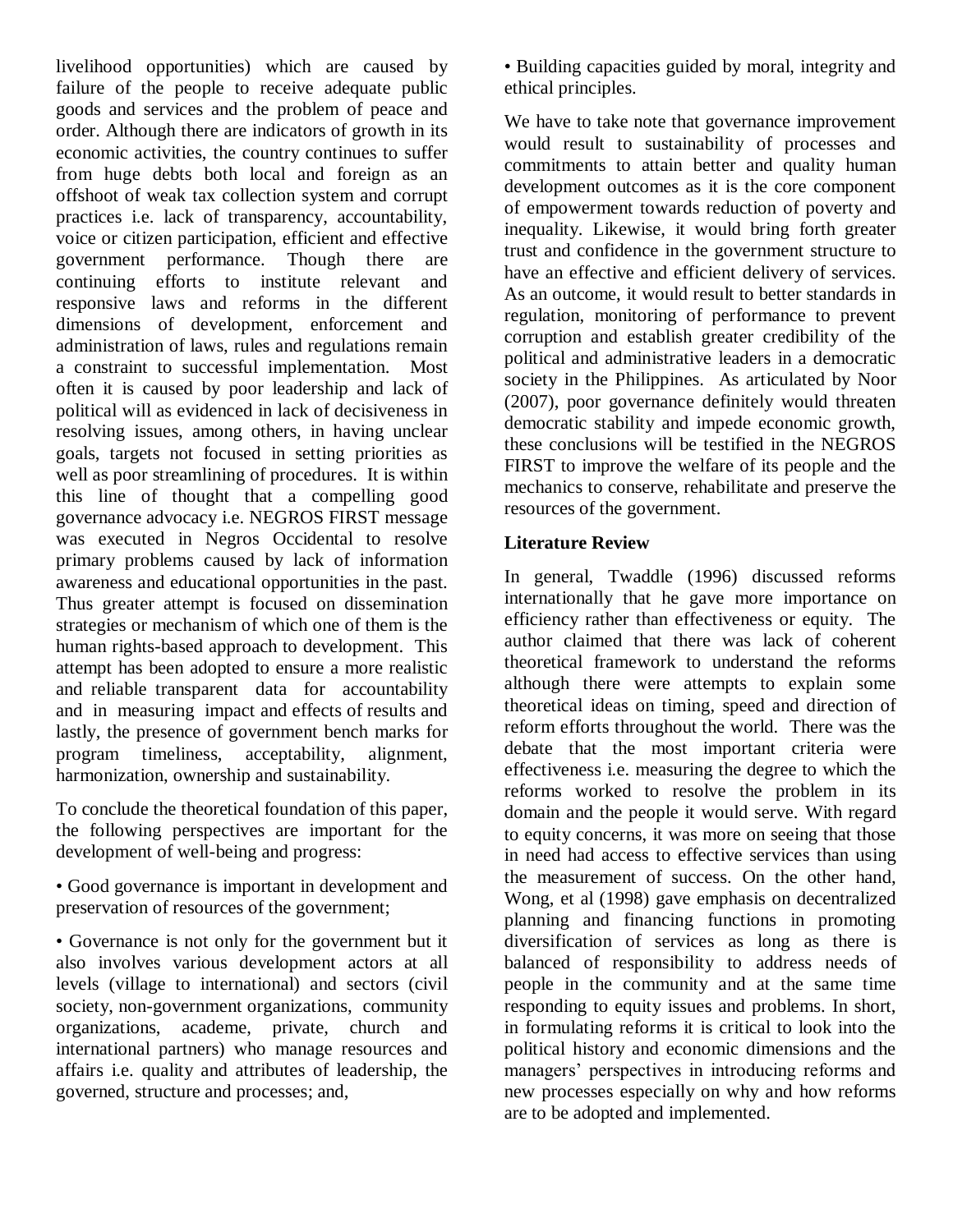livelihood opportunities) which are caused by failure of the people to receive adequate public goods and services and the problem of peace and order. Although there are indicators of growth in its economic activities, the country continues to suffer from huge debts both local and foreign as an offshoot of weak tax collection system and corrupt practices i.e. lack of transparency, accountability, voice or citizen participation, efficient and effective government performance. Though there are continuing efforts to institute relevant and responsive laws and reforms in the different dimensions of development, enforcement and administration of laws, rules and regulations remain a constraint to successful implementation. Most often it is caused by poor leadership and lack of political will as evidenced in lack of decisiveness in resolving issues, among others, in having unclear goals, targets not focused in setting priorities as well as poor streamlining of procedures. It is within this line of thought that a compelling good governance advocacy i.e. NEGROS FIRST message was executed in Negros Occidental to resolve primary problems caused by lack of information awareness and educational opportunities in the past. Thus greater attempt is focused on dissemination strategies or mechanism of which one of them is the human rights-based approach to development. This attempt has been adopted to ensure a more realistic and reliable transparent data for accountability and in measuring impact and effects of results and lastly, the presence of government bench marks for program timeliness, acceptability, alignment, harmonization, ownership and sustainability.

To conclude the theoretical foundation of this paper, the following perspectives are important for the development of well-being and progress:

• Good governance is important in development and preservation of resources of the government;

• Governance is not only for the government but it also involves various development actors at all levels (village to international) and sectors (civil society, non-government organizations, community organizations, academe, private, church and international partners) who manage resources and affairs i.e. quality and attributes of leadership, the governed, structure and processes; and,

• Building capacities guided by moral, integrity and ethical principles.

We have to take note that governance improvement would result to sustainability of processes and commitments to attain better and quality human development outcomes as it is the core component of empowerment towards reduction of poverty and inequality. Likewise, it would bring forth greater trust and confidence in the government structure to have an effective and efficient delivery of services. As an outcome, it would result to better standards in regulation, monitoring of performance to prevent corruption and establish greater credibility of the political and administrative leaders in a democratic society in the Philippines. As articulated by Noor (2007), poor governance definitely would threaten democratic stability and impede economic growth, these conclusions will be testified in the NEGROS FIRST to improve the welfare of its people and the mechanics to conserve, rehabilitate and preserve the resources of the government.

## **Literature Review**

In general, Twaddle (1996) discussed reforms internationally that he gave more importance on efficiency rather than effectiveness or equity. The author claimed that there was lack of coherent theoretical framework to understand the reforms although there were attempts to explain some theoretical ideas on timing, speed and direction of reform efforts throughout the world. There was the debate that the most important criteria were effectiveness i.e. measuring the degree to which the reforms worked to resolve the problem in its domain and the people it would serve. With regard to equity concerns, it was more on seeing that those in need had access to effective services than using the measurement of success. On the other hand, Wong, et al (1998) gave emphasis on decentralized planning and financing functions in promoting diversification of services as long as there is balanced of responsibility to address needs of people in the community and at the same time responding to equity issues and problems. In short, in formulating reforms it is critical to look into the political history and economic dimensions and the managers' perspectives in introducing reforms and new processes especially on why and how reforms are to be adopted and implemented.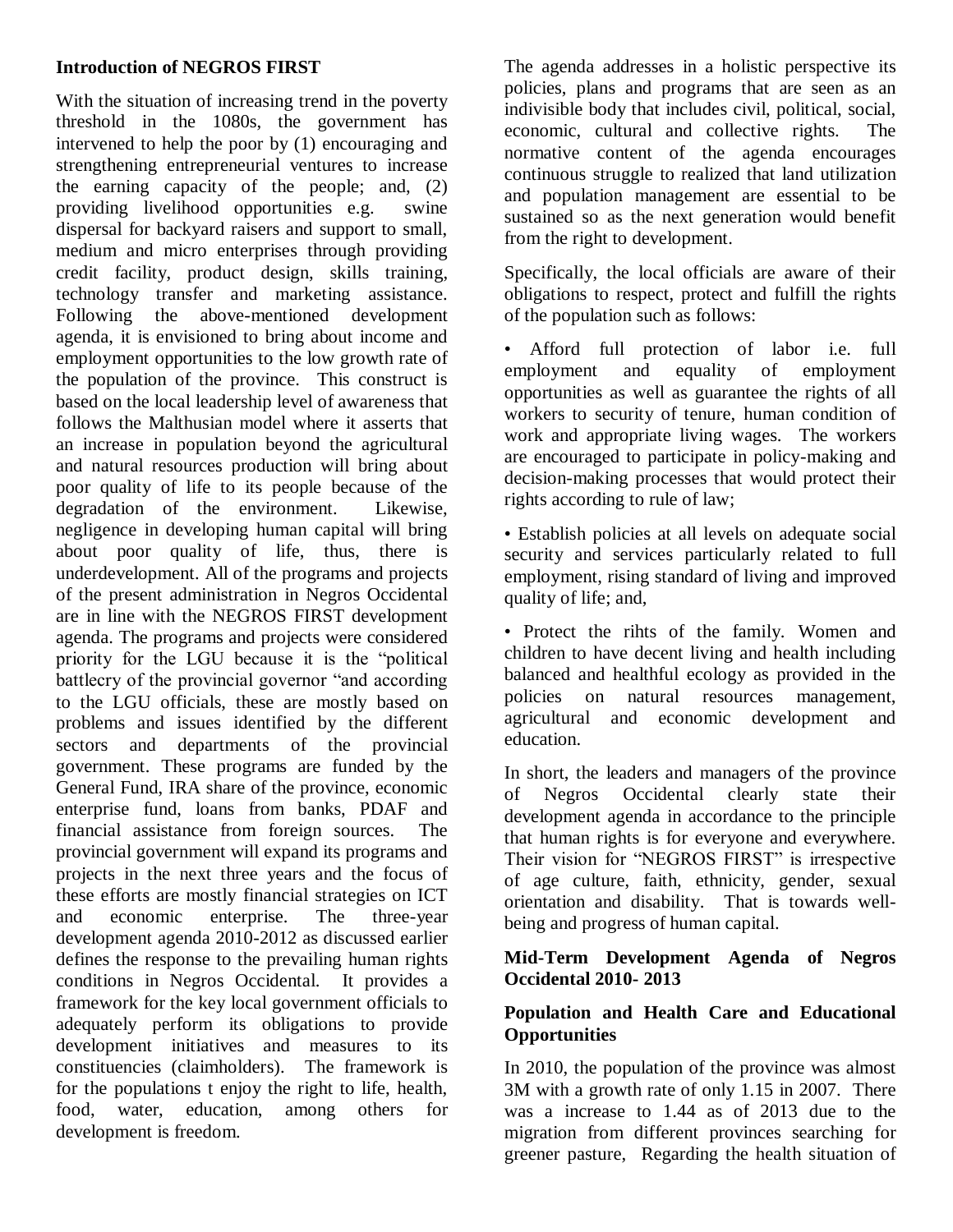### **Introduction of NEGROS FIRST**

With the situation of increasing trend in the poverty threshold in the 1080s, the government has intervened to help the poor by (1) encouraging and strengthening entrepreneurial ventures to increase the earning capacity of the people; and, (2) providing livelihood opportunities e.g. swine dispersal for backyard raisers and support to small, medium and micro enterprises through providing credit facility, product design, skills training, technology transfer and marketing assistance. Following the above-mentioned development agenda, it is envisioned to bring about income and employment opportunities to the low growth rate of the population of the province. This construct is based on the local leadership level of awareness that follows the Malthusian model where it asserts that an increase in population beyond the agricultural and natural resources production will bring about poor quality of life to its people because of the degradation of the environment. Likewise, negligence in developing human capital will bring about poor quality of life, thus, there is underdevelopment. All of the programs and projects of the present administration in Negros Occidental are in line with the NEGROS FIRST development agenda. The programs and projects were considered priority for the LGU because it is the "political" battlecry of the provincial governor "and according to the LGU officials, these are mostly based on problems and issues identified by the different sectors and departments of the provincial government. These programs are funded by the General Fund, IRA share of the province, economic enterprise fund, loans from banks, PDAF and financial assistance from foreign sources. The provincial government will expand its programs and projects in the next three years and the focus of these efforts are mostly financial strategies on ICT and economic enterprise. The three-year development agenda 2010-2012 as discussed earlier defines the response to the prevailing human rights conditions in Negros Occidental. It provides a framework for the key local government officials to adequately perform its obligations to provide development initiatives and measures to its constituencies (claimholders). The framework is for the populations t enjoy the right to life, health, food, water, education, among others for development is freedom.

The agenda addresses in a holistic perspective its policies, plans and programs that are seen as an indivisible body that includes civil, political, social, economic, cultural and collective rights. The normative content of the agenda encourages continuous struggle to realized that land utilization and population management are essential to be sustained so as the next generation would benefit from the right to development.

Specifically, the local officials are aware of their obligations to respect, protect and fulfill the rights of the population such as follows:

• Afford full protection of labor i.e. full employment and equality of employment opportunities as well as guarantee the rights of all workers to security of tenure, human condition of work and appropriate living wages. The workers are encouraged to participate in policy-making and decision-making processes that would protect their rights according to rule of law;

• Establish policies at all levels on adequate social security and services particularly related to full employment, rising standard of living and improved quality of life; and,

• Protect the rihts of the family. Women and children to have decent living and health including balanced and healthful ecology as provided in the policies on natural resources management, agricultural and economic development and education.

In short, the leaders and managers of the province of Negros Occidental clearly state their development agenda in accordance to the principle that human rights is for everyone and everywhere. Their vision for "NEGROS FIRST" is irrespective of age culture, faith, ethnicity, gender, sexual orientation and disability. That is towards wellbeing and progress of human capital.

## **Mid-Term Development Agenda of Negros Occidental 2010- 2013**

## **Population and Health Care and Educational Opportunities**

In 2010, the population of the province was almost 3M with a growth rate of only 1.15 in 2007. There was a increase to 1.44 as of 2013 due to the migration from different provinces searching for greener pasture, Regarding the health situation of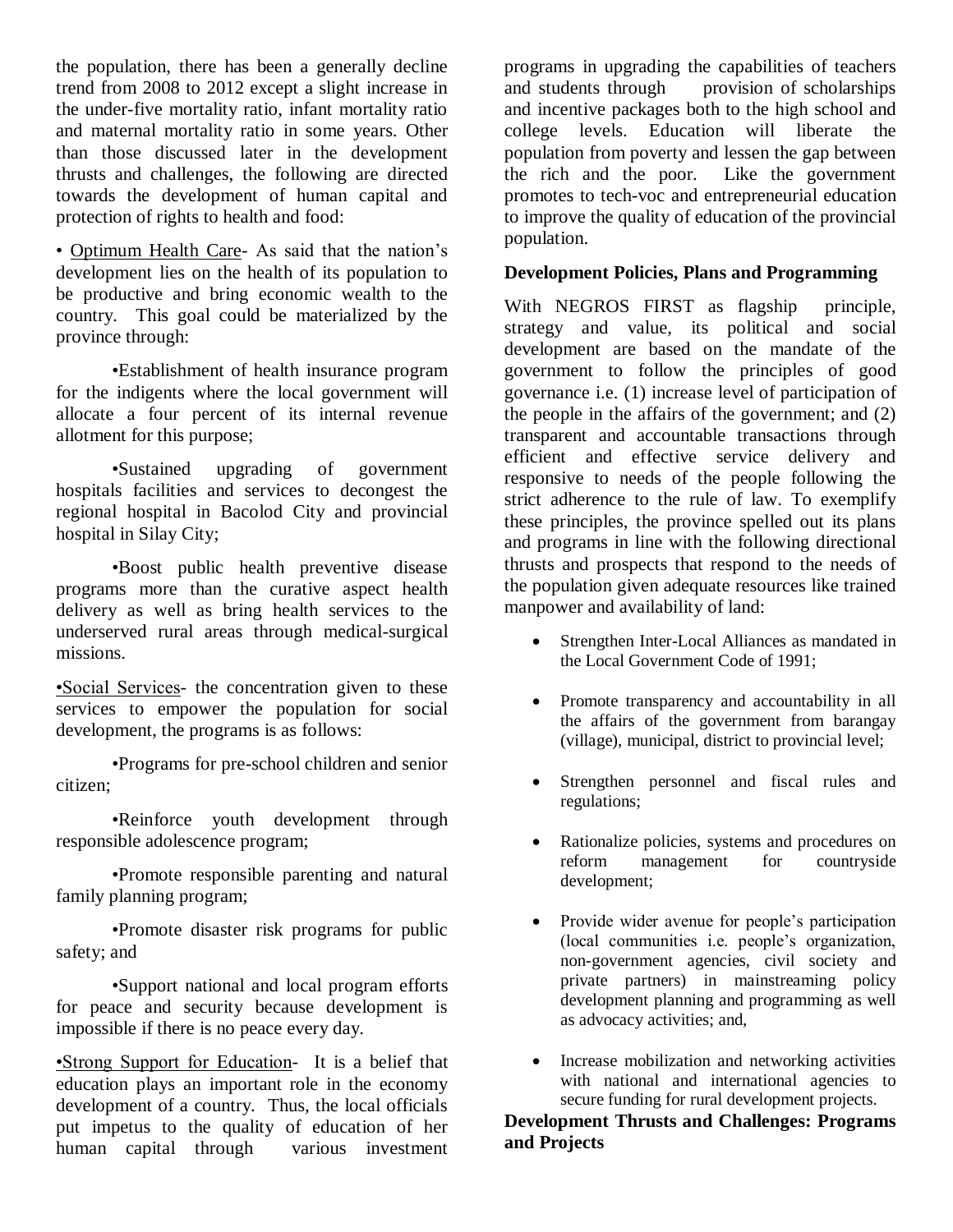the population, there has been a generally decline trend from 2008 to 2012 except a slight increase in the under-five mortality ratio, infant mortality ratio and maternal mortality ratio in some years. Other than those discussed later in the development thrusts and challenges, the following are directed towards the development of human capital and protection of rights to health and food:

• Optimum Health Care- As said that the nation's development lies on the health of its population to be productive and bring economic wealth to the country. This goal could be materialized by the province through:

•Establishment of health insurance program for the indigents where the local government will allocate a four percent of its internal revenue allotment for this purpose;

•Sustained upgrading of government hospitals facilities and services to decongest the regional hospital in Bacolod City and provincial hospital in Silay City;

•Boost public health preventive disease programs more than the curative aspect health delivery as well as bring health services to the underserved rural areas through medical-surgical missions.

•Social Services- the concentration given to these services to empower the population for social development, the programs is as follows:

•Programs for pre-school children and senior citizen;

•Reinforce youth development through responsible adolescence program;

•Promote responsible parenting and natural family planning program;

•Promote disaster risk programs for public safety; and

•Support national and local program efforts for peace and security because development is impossible if there is no peace every day.

•Strong Support for Education- It is a belief that education plays an important role in the economy development of a country. Thus, the local officials put impetus to the quality of education of her human capital through various investment programs in upgrading the capabilities of teachers and students through provision of scholarships and incentive packages both to the high school and college levels. Education will liberate the population from poverty and lessen the gap between the rich and the poor. Like the government promotes to tech-voc and entrepreneurial education to improve the quality of education of the provincial population.

### **Development Policies, Plans and Programming**

With NEGROS FIRST as flagship principle, strategy and value, its political and social development are based on the mandate of the government to follow the principles of good governance i.e. (1) increase level of participation of the people in the affairs of the government; and (2) transparent and accountable transactions through efficient and effective service delivery and responsive to needs of the people following the strict adherence to the rule of law. To exemplify these principles, the province spelled out its plans and programs in line with the following directional thrusts and prospects that respond to the needs of the population given adequate resources like trained manpower and availability of land:

- Strengthen Inter-Local Alliances as mandated in the Local Government Code of 1991;
- Promote transparency and accountability in all the affairs of the government from barangay (village), municipal, district to provincial level;
- Strengthen personnel and fiscal rules and regulations;
- Rationalize policies, systems and procedures on reform management for countryside development;
- Provide wider avenue for people's participation (local communities i.e. people's organization, non-government agencies, civil society and private partners) in mainstreaming policy development planning and programming as well as advocacy activities; and,
- Increase mobilization and networking activities with national and international agencies to secure funding for rural development projects.

**Development Thrusts and Challenges: Programs and Projects**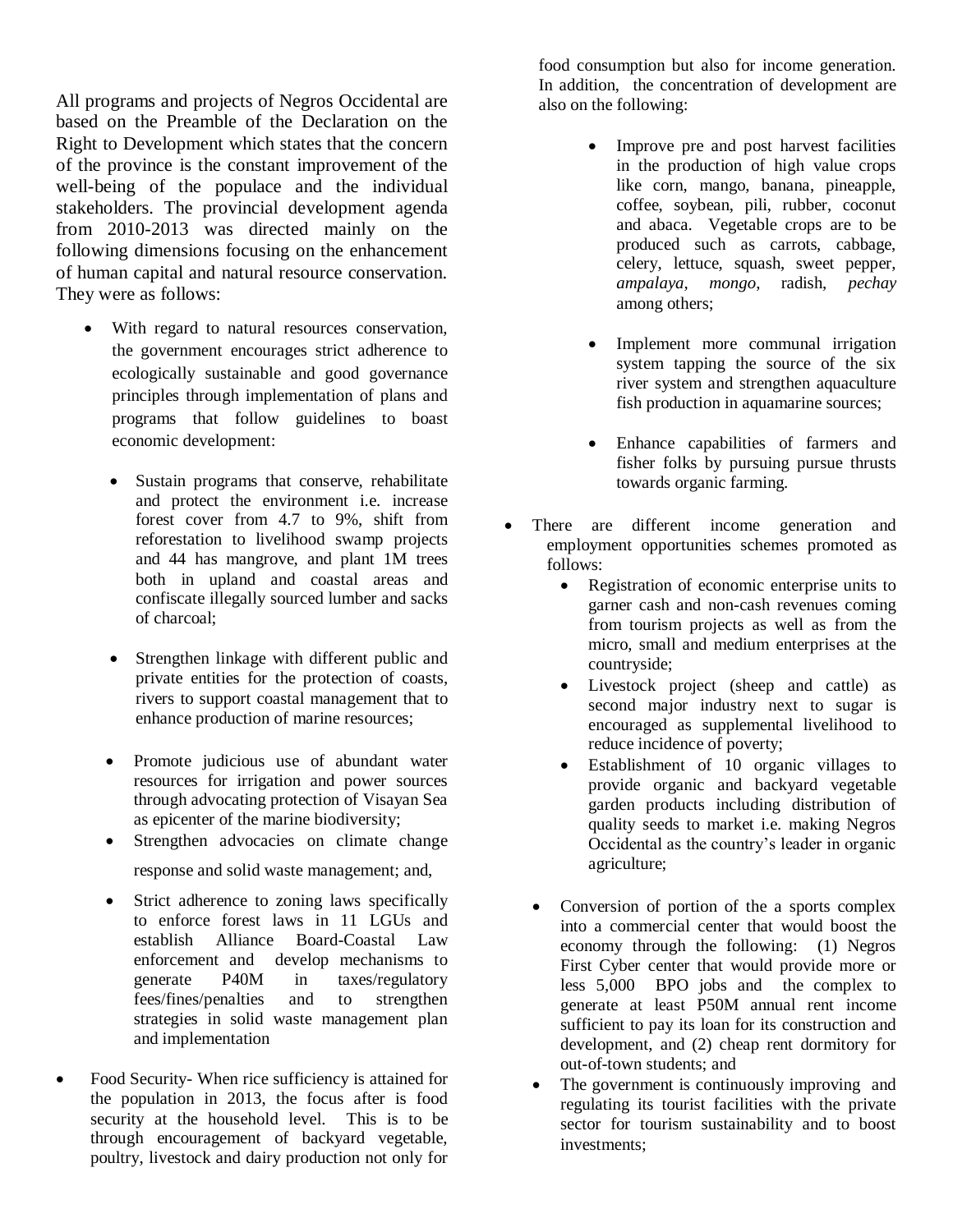All programs and projects of Negros Occidental are based on the Preamble of the Declaration on the Right to Development which states that the concern of the province is the constant improvement of the well-being of the populace and the individual stakeholders. The provincial development agenda from 2010-2013 was directed mainly on the following dimensions focusing on the enhancement of human capital and natural resource conservation. They were as follows:

- With regard to natural resources conservation, the government encourages strict adherence to ecologically sustainable and good governance principles through implementation of plans and programs that follow guidelines to boast economic development:
	- Sustain programs that conserve, rehabilitate and protect the environment i.e. increase forest cover from 4.7 to 9%, shift from reforestation to livelihood swamp projects and 44 has mangrove, and plant 1M trees both in upland and coastal areas and confiscate illegally sourced lumber and sacks of charcoal;
	- Strengthen linkage with different public and private entities for the protection of coasts, rivers to support coastal management that to enhance production of marine resources;
	- Promote judicious use of abundant water resources for irrigation and power sources through advocating protection of Visayan Sea as epicenter of the marine biodiversity;
	- Strengthen advocacies on climate change response and solid waste management; and,
	- Strict adherence to zoning laws specifically to enforce forest laws in 11 LGUs and establish Alliance Board-Coastal Law enforcement and develop mechanisms to generate P40M in taxes/regulatory fees/fines/penalties and to strengthen strategies in solid waste management plan and implementation
- Food Security- When rice sufficiency is attained for the population in 2013, the focus after is food security at the household level. This is to be through encouragement of backyard vegetable, poultry, livestock and dairy production not only for

food consumption but also for income generation. In addition, the concentration of development are also on the following:

- Improve pre and post harvest facilities in the production of high value crops like corn, mango, banana, pineapple, coffee, soybean, pili, rubber, coconut and abaca. Vegetable crops are to be produced such as carrots, cabbage, celery, lettuce, squash, sweet pepper, *ampalaya, mongo*, radish, *pechay*  among others;
- Implement more communal irrigation system tapping the source of the six river system and strengthen aquaculture fish production in aquamarine sources;
- Enhance capabilities of farmers and fisher folks by pursuing pursue thrusts towards organic farming.
- There are different income generation and employment opportunities schemes promoted as follows:
	- Registration of economic enterprise units to garner cash and non-cash revenues coming from tourism projects as well as from the micro, small and medium enterprises at the countryside;
	- Livestock project (sheep and cattle) as second major industry next to sugar is encouraged as supplemental livelihood to reduce incidence of poverty;
	- Establishment of 10 organic villages to provide organic and backyard vegetable garden products including distribution of quality seeds to market i.e. making Negros Occidental as the country's leader in organic agriculture;
	- Conversion of portion of the a sports complex into a commercial center that would boost the economy through the following: (1) Negros First Cyber center that would provide more or less 5,000 BPO jobs and the complex to generate at least P50M annual rent income sufficient to pay its loan for its construction and development, and (2) cheap rent dormitory for out-of-town students; and
	- The government is continuously improving and regulating its tourist facilities with the private sector for tourism sustainability and to boost investments;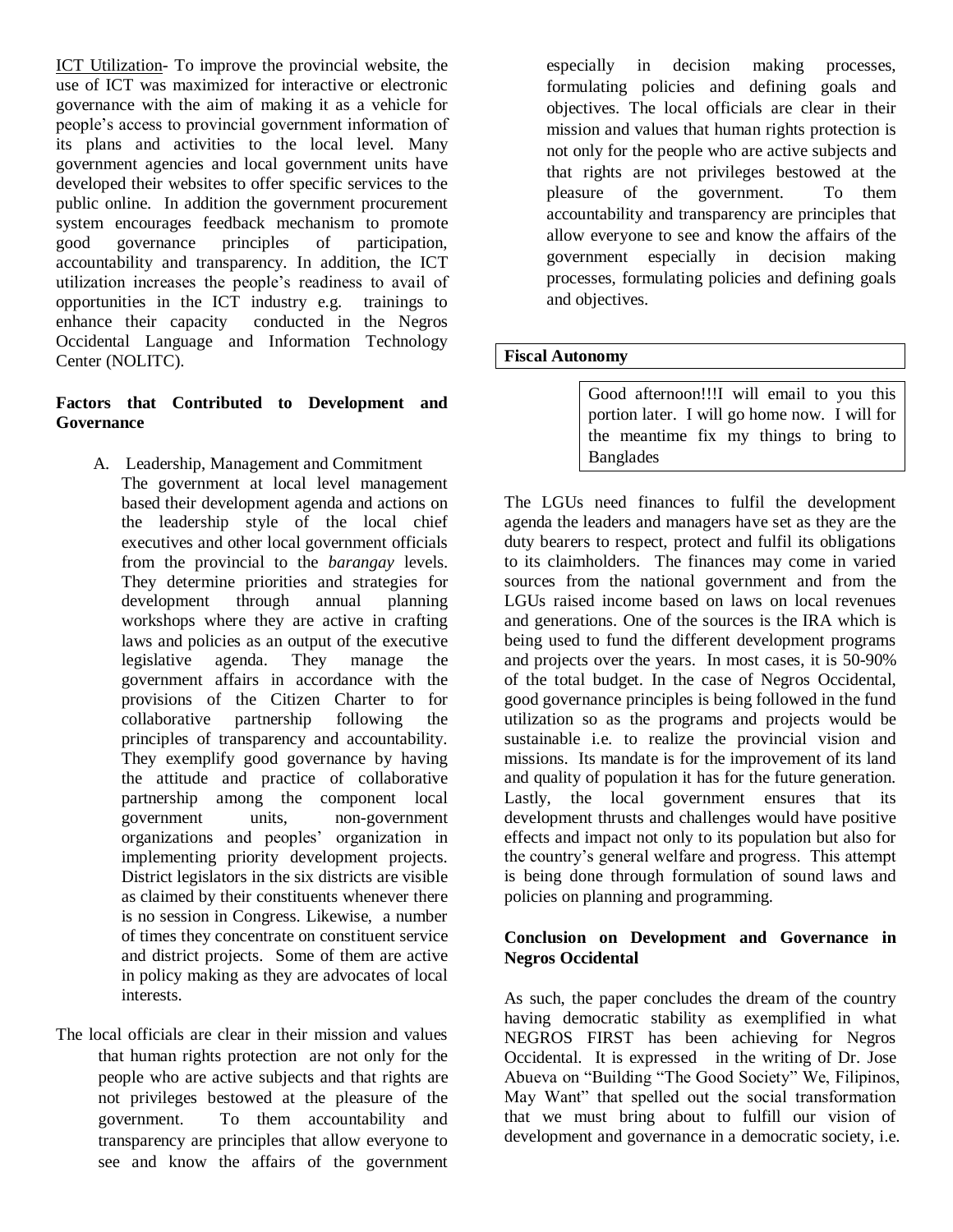ICT Utilization- To improve the provincial website, the use of ICT was maximized for interactive or electronic governance with the aim of making it as a vehicle for people's access to provincial government information of its plans and activities to the local level. Many government agencies and local government units have developed their websites to offer specific services to the public online. In addition the government procurement system encourages feedback mechanism to promote<br>good governance principles of participation. good governance principles of participation, accountability and transparency. In addition, the ICT utilization increases the people's readiness to avail of opportunities in the ICT industry e.g. trainings to enhance their capacity conducted in the Negros Occidental Language and Information Technology Center (NOLITC).

#### **Factors that Contributed to Development and Governance**

- A. Leadership, Management and Commitment The government at local level management based their development agenda and actions on the leadership style of the local chief executives and other local government officials from the provincial to the *barangay* levels. They determine priorities and strategies for development through annual planning workshops where they are active in crafting laws and policies as an output of the executive legislative agenda. They manage the government affairs in accordance with the provisions of the Citizen Charter to for collaborative partnership following the principles of transparency and accountability. They exemplify good governance by having the attitude and practice of collaborative partnership among the component local government units, non-government organizations and peoples' organization in implementing priority development projects. District legislators in the six districts are visible as claimed by their constituents whenever there is no session in Congress. Likewise, a number of times they concentrate on constituent service and district projects. Some of them are active in policy making as they are advocates of local interests.
- The local officials are clear in their mission and values that human rights protection are not only for the people who are active subjects and that rights are not privileges bestowed at the pleasure of the government. To them accountability and transparency are principles that allow everyone to see and know the affairs of the government

especially in decision making processes, formulating policies and defining goals and objectives. The local officials are clear in their mission and values that human rights protection is not only for the people who are active subjects and that rights are not privileges bestowed at the pleasure of the government. To them accountability and transparency are principles that allow everyone to see and know the affairs of the government especially in decision making processes, formulating policies and defining goals and objectives.

#### **Fiscal Autonomy**

Good afternoon!!!I will email to you this portion later. I will go home now. I will for the meantime fix my things to bring to Banglades

The LGUs need finances to fulfil the development agenda the leaders and managers have set as they are the duty bearers to respect, protect and fulfil its obligations to its claimholders. The finances may come in varied sources from the national government and from the LGUs raised income based on laws on local revenues and generations. One of the sources is the IRA which is being used to fund the different development programs and projects over the years. In most cases, it is 50-90% of the total budget. In the case of Negros Occidental, good governance principles is being followed in the fund utilization so as the programs and projects would be sustainable i.e. to realize the provincial vision and missions. Its mandate is for the improvement of its land and quality of population it has for the future generation. Lastly, the local government ensures that its development thrusts and challenges would have positive effects and impact not only to its population but also for the country's general welfare and progress. This attempt is being done through formulation of sound laws and policies on planning and programming.

#### **Conclusion on Development and Governance in Negros Occidental**

As such, the paper concludes the dream of the country having democratic stability as exemplified in what NEGROS FIRST has been achieving for Negros Occidental. It is expressed in the writing of Dr. Jose Abueva on "Building "The Good Society" We, Filipinos, May Want" that spelled out the social transformation that we must bring about to fulfill our vision of development and governance in a democratic society, i.e.